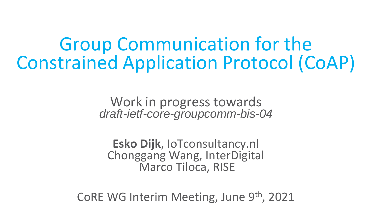Group Communication for the Constrained Application Protocol (CoAP)

> Work in progress towards *draft-ietf-core-groupcomm-bis-04*

**Esko Dijk**, IoTconsultancy.nl Chonggang Wang, InterDigital Marco Tiloca, RISE

CoRE WG Interim Meeting, June 9th, 2021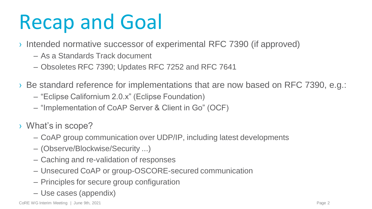## Recap and Goal

- › Intended normative successor of experimental RFC 7390 (if approved)
	- As a Standards Track document
	- Obsoletes RFC 7390; Updates RFC 7252 and RFC 7641
- › Be standard reference for implementations that are now based on RFC 7390, e.g.:
	- "Eclipse Californium 2.0.x" (Eclipse Foundation)
	- "Implementation of CoAP Server & Client in Go" (OCF)
- › What"s in scope?
	- CoAP group communication over UDP/IP, including latest developments
	- (Observe/Blockwise/Security ...)
	- Caching and re-validation of responses
	- Unsecured CoAP or group-OSCORE-secured communication
	- Principles for secure group configuration
	- Use cases (appendix)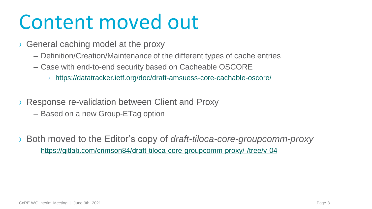### Content moved out

- › General caching model at the proxy
	- Definition/Creation/Maintenance of the different types of cache entries
	- Case with end-to-end security based on Cacheable OSCORE
		- › <https://datatracker.ietf.org/doc/draft-amsuess-core-cachable-oscore/>
- › Response re-validation between Client and Proxy
	- Based on a new Group-ETag option
- › Both moved to the Editor"s copy of *draft-tiloca-core-groupcomm-proxy*
	- <https://gitlab.com/crimson84/draft-tiloca-core-groupcomm-proxy/-/tree/v-04>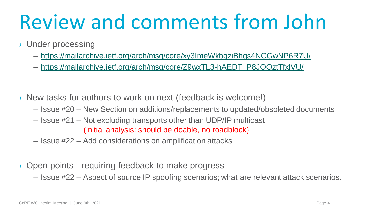## Review and comments from John

- › Under processing
	- <https://mailarchive.ietf.org/arch/msg/core/xy3ImeWkbqziBhqs4NCGwNP6R7U/>
	- [https://mailarchive.ietf.org/arch/msg/core/Z9wxTL3-hAEDT\\_P8JOQztTfxlVU/](https://mailarchive.ietf.org/arch/msg/core/Z9wxTL3-hAEDT_P8JOQztTfxlVU/)
- › New tasks for authors to work on next (feedback is welcome!)
	- Issue #20 New Section on additions/replacements to updated/obsoleted documents
	- Issue #21 Not excluding transports other than UDP/IP multicast (initial analysis: should be doable, no roadblock)
	- Issue #22 Add considerations on amplification attacks
- › Open points requiring feedback to make progress
	- Issue #22 Aspect of source IP spoofing scenarios; what are relevant attack scenarios.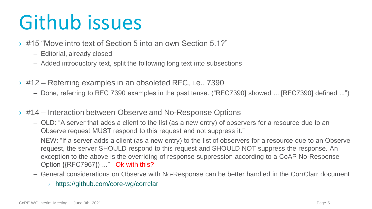- › #15 "Move intro text of Section 5 into an own Section 5.1?"
	- Editorial, already closed
	- Added introductory text, split the following long text into subsections
- › #12 Referring examples in an obsoleted RFC, i.e., 7390
	- Done, referring to RFC 7390 examples in the past tense. ("RFC7390] showed ... [RFC7390] defined ...")
- › #14 Interaction between Observe and No-Response Options
	- OLD: "A server that adds a client to the list (as a new entry) of observers for a resource due to an Observe request MUST respond to this request and not suppress it."
	- NEW: "If a server adds a client (as a new entry) to the list of observers for a resource due to an Observe request, the server SHOULD respond to this request and SHOULD NOT suppress the response. An exception to the above is the overriding of response suppression according to a CoAP No-Response Option {{RFC7967}} ..." Ok with this?
	- General considerations on Observe with No-Response can be better handled in the CorrClarr document
		- <https://github.com/core-wg/corrclar>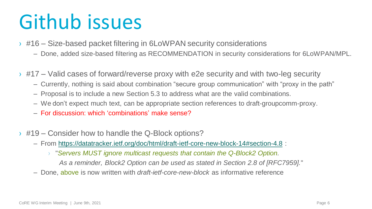- $\rightarrow$  #16 Size-based packet filtering in 6LoWPAN security considerations
	- Done, added size-based filtering as RECOMMENDATION in security considerations for 6LoWPAN/MPL.
- $\rightarrow$  #17 Valid cases of forward/reverse proxy with e2e security and with two-leg security
	- Currently, nothing is said about combination "secure group communication" with "proxy in the path"
	- Proposal is to include a new Section 5.3 to address what are the valid combinations.
	- We don"t expect much text, can be appropriate section references to draft-groupcomm-proxy.
	- For discussion: which "combinations" make sense?
- $\rightarrow$  #19 Consider how to handle the Q-Block options?
	- From [https://datatracker.ietf.org/doc/html/draft-ietf-core-new-block-14#section-4.8](https://datatracker.ietf.org/doc/html/draft-ietf-core-new-block-14) :
		- › "*Servers MUST ignore multicast requests that contain the Q-Block2 Option. As a reminder, Block2 Option can be used as stated in Section 2.8 of [RFC7959].*"
	- Done, above is now written with *draft-ietf-core-new-block* as informative reference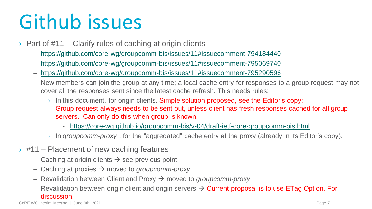- $\rightarrow$  Part of #11 Clarify rules of caching at origin clients
	- [https://github.com/core-wg/groupcomm-bis/issues/11#issuecomment-794184440](https://github.com/core-wg/groupcomm-bis/issues/11)
	- [https://github.com/core-wg/groupcomm-bis/issues/11#issuecomment-795069740](https://github.com/core-wg/groupcomm-bis/issues/11)
	- [https://github.com/core-wg/groupcomm-bis/issues/11#issuecomment-795290596](https://github.com/core-wg/groupcomm-bis/issues/11)
	- New members can join the group at any time; a local cache entry for responses to a group request may not cover all the responses sent since the latest cache refresh. This needs rules:
		- $\rightarrow$  In this document, for origin clients. Simple solution proposed, see the Editor's copy: Group request always needs to be sent out, unless client has fresh responses cached for all group servers. Can only do this when group is known.
			- <https://core-wg.github.io/groupcomm-bis/v-04/draft-ietf-core-groupcomm-bis.html>
		- In *groupcomm-proxy*, for the "aggregated" cache entry at the proxy (already in its Editor's copy).
- $\rightarrow$  #11 Placement of new caching features
	- Caching at origin clients  $\rightarrow$  see previous point
	- $-$  Caching at proxies  $\rightarrow$  moved to *groupcomm-proxy*
	- $-$  Revalidation between Client and Proxy  $\rightarrow$  moved to *groupcomm-proxy*
	- Revalidation between origin client and origin servers  $\rightarrow$  Current proposal is to use ETag Option. For discussion.

CoRE WG Interim Meeting | June 9th, 2021 Page 7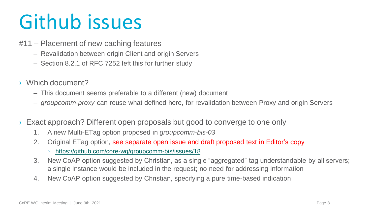- #11 Placement of new caching features
	- Revalidation between origin Client and origin Servers
	- Section 8.2.1 of RFC 7252 left this for further study
- › Which document?
	- This document seems preferable to a different (new) document
	- *groupcomm-proxy* can reuse what defined here, for revalidation between Proxy and origin Servers
- Exact approach? Different open proposals but good to converge to one only
	- 1. A new Multi-ETag option proposed in *groupcomm-bis-03*
	- 2. Original ETag option, see separate open issue and draft proposed text in Editor's copy
		- <https://github.com/core-wg/groupcomm-bis/issues/18>
	- 3. New CoAP option suggested by Christian, as a single "aggregated" tag understandable by all servers; a single instance would be included in the request; no need for addressing information
	- 4. New CoAP option suggested by Christian, specifying a pure time-based indication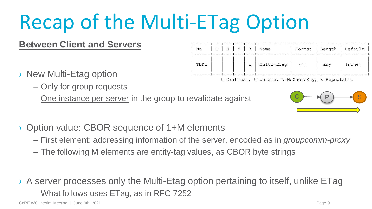## Recap of the Multi-ETag Option

#### **Between Client and Servers**

- › New Multi-Etag option
	- Only for group requests
	- One instance per server in the group to revalidate against



- First element: addressing information of the server, encoded as in *groupcomm-proxy*
- The following M elements are entity-tag values, as CBOR byte strings

› A server processes only the Multi-Etag option pertaining to itself, unlike ETag

– What follows uses ETag, as in RFC 7252

C  $\rightarrow$  P  $\rightarrow$  S



C=Critical, U=Unsafe, N=NoCacheKey, R=Repeatable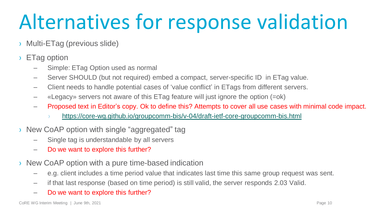## Alternatives for response validation

- › Multi-ETag (previous slide)
- › ETag option
	- Simple: ETag Option used as normal
	- Server SHOULD (but not required) embed a compact, server-specific ID in ETag value.
	- Client needs to handle potential cases of "value conflict" in ETags from different servers.
	- «Legacy» servers not aware of this ETag feature will just ignore the option (=ok)
	- Proposed text in Editor"s copy. Ok to define this? Attempts to cover all use cases with minimal code impact.
		- <https://core-wg.github.io/groupcomm-bis/v-04/draft-ietf-core-groupcomm-bis.html>
- › New CoAP option with single "aggregated" tag
	- Single tag is understandable by all servers
	- Do we want to explore this further?
- › New CoAP option with a pure time-based indication
	- e.g. client includes a time period value that indicates last time this same group request was sent.
	- if that last response (based on time period) is still valid, the server responds 2.03 Valid.
	- Do we want to explore this further?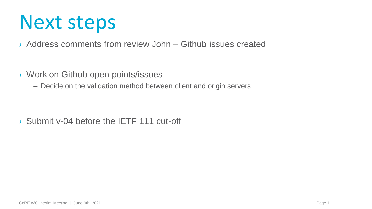### Next steps

- › Address comments from review John Github issues created
- › Work on Github open points/issues
	- Decide on the validation method between client and origin servers

› Submit v-04 before the IETF 111 cut-off